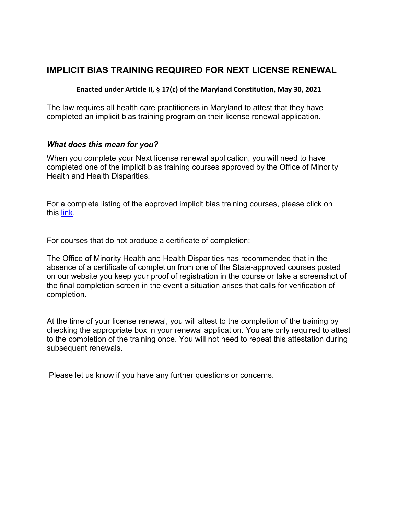## **IMPLICIT BIAS TRAINING REQUIRED FOR NEXT LICENSE RENEWAL**

## **Enacted under Article II, § 17(c) of the Maryland Constitution, May 30, 2021**

The law requires all health care practitioners in Maryland to attest that they have completed an implicit bias training program on their license renewal application.

## *What does this mean for you?*

When you complete your Next license renewal application, you will need to have completed one of the implicit bias training courses approved by the Office of Minority Health and Health Disparities.

For a complete listing of the approved implicit bias training courses, please click on this [link.](https://health.maryland.gov/bphte/Documents/impilcitbias.pdf)

For courses that do not produce a certificate of completion:

The Office of Minority Health and Health Disparities has recommended that in the absence of a certificate of completion from one of the State-approved courses posted on our website you keep your proof of registration in the course or take a screenshot of the final completion screen in the event a situation arises that calls for verification of completion.

At the time of your license renewal, you will attest to the completion of the training by checking the appropriate box in your renewal application. You are only required to attest to the completion of the training once. You will not need to repeat this attestation during subsequent renewals.

Please let us know if you have any further questions or concerns.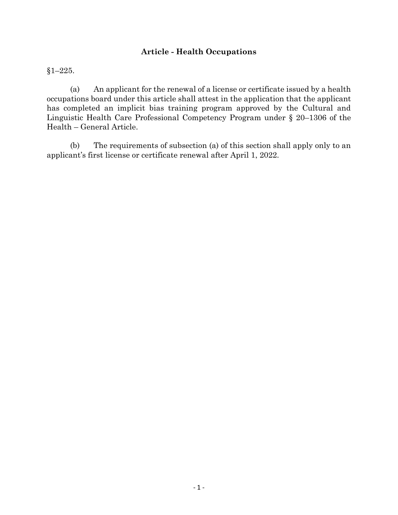## **Article - Health Occupations**

§1–225.

(a) An applicant for the renewal of a license or certificate issued by a health occupations board under this article shall attest in the application that the applicant has completed an implicit bias training program approved by the Cultural and Linguistic Health Care Professional Competency Program under § 20–1306 of the Health – General Article.

(b) The requirements of subsection (a) of this section shall apply only to an applicant's first license or certificate renewal after April 1, 2022.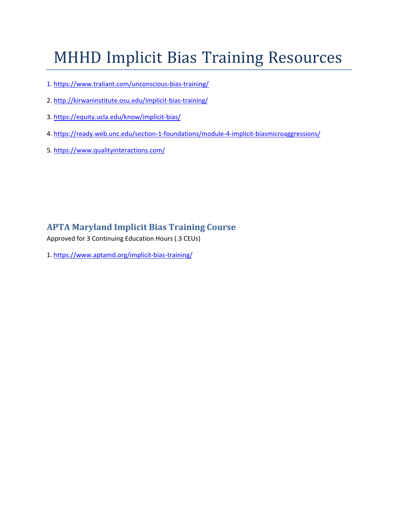# MHHD Implicit Bias Training Resources

- 1. [https://www.traliant.com/unconscious-bias-training/](http://www.traliant.com/unconscious-bias-training/)
- 2. <http://kirwaninstitute.osu.edu/implicit-bias-training/>
- 3. https://equity.ucla.edu/know/implicit-bias/
- 4. https://ready.web.unc.edu/section-1-foundations/module-4-implicit-biasmicroaggressions/
- 5. [https://www.qualityinteractions.com/](https://www.qualityinteractions.com/?utm_term=unconscious%20bias%20training&utm_c%20ampaign=Website%20traffic-QI-%20CCTraining&utm_source=adwords&utm_medium=ppc&hsa_acc=9438713921&hsa_cam=1374905%202733&hsa_grp=125092628580&hsa_ad=531288198878&hsa_src=g&hsa_tgt=kwd301161849076&hsa_k%20w=unconscious%20bias%20training&hsa_mt=b&hsa_net=adwords&hsa_v%20er=3&gclid=CjwKCAjwsNiIBhBdEiwAJK4khmpxYgSo4CuiwA2QWNWqfj6AdMboLqTWY7jolP1kCuDmxSnLz%206jPxoCVUgQAvD_BwE)

## **APTA Maryland Implicit Bias Training Course**

Approved for 3 Continuing Education Hours (.3 CEUs)

1. <https://www.aptamd.org/implicit-bias-training/>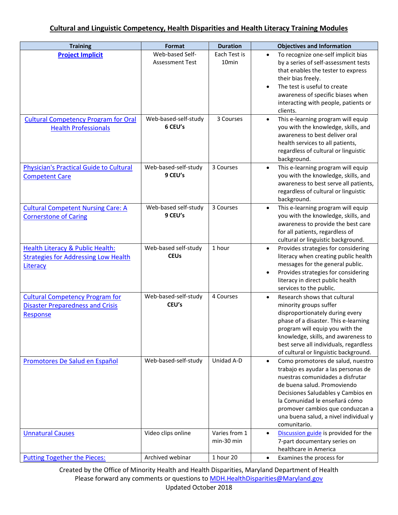| <b>Training</b>                                                                                      | Format                                    | <b>Duration</b>                   | <b>Objectives and Information</b>                                                                                                                                                                                                                                                                                            |
|------------------------------------------------------------------------------------------------------|-------------------------------------------|-----------------------------------|------------------------------------------------------------------------------------------------------------------------------------------------------------------------------------------------------------------------------------------------------------------------------------------------------------------------------|
| <b>Project Implicit</b>                                                                              | Web-based Self-<br><b>Assessment Test</b> | Each Test is<br>10 <sub>min</sub> | To recognize one-self implicit bias<br>$\bullet$<br>by a series of self-assessment tests<br>that enables the tester to express<br>their bias freely.<br>The test is useful to create<br>awareness of specific biases when<br>interacting with people, patients or<br>clients.                                                |
| <b>Cultural Competency Program for Oral</b><br><b>Health Professionals</b>                           | Web-based-self-study<br>6 CEU's           | 3 Courses                         | This e-learning program will equip<br>$\bullet$<br>you with the knowledge, skills, and<br>awareness to best deliver oral<br>health services to all patients,<br>regardless of cultural or linguistic<br>background.                                                                                                          |
| <b>Physician's Practical Guide to Cultural</b><br><b>Competent Care</b>                              | Web-based-self-study<br>9 CEU's           | 3 Courses                         | This e-learning program will equip<br>$\bullet$<br>you with the knowledge, skills, and<br>awareness to best serve all patients,<br>regardless of cultural or linguistic<br>background.                                                                                                                                       |
| <b>Cultural Competent Nursing Care: A</b><br><b>Cornerstone of Caring</b>                            | Web-based self-study<br>9 CEU's           | 3 Courses                         | This e-learning program will equip<br>$\bullet$<br>you with the knowledge, skills, and<br>awareness to provide the best care<br>for all patients, regardless of<br>cultural or linguistic background.                                                                                                                        |
| Health Literacy & Public Health:<br><b>Strategies for Addressing Low Health</b><br>Literacy          | Web-based self-study<br><b>CEUs</b>       | 1 hour                            | Provides strategies for considering<br>$\bullet$<br>literacy when creating public health<br>messages for the general public.<br>Provides strategies for considering<br>٠<br>literacy in direct public health<br>services to the public.                                                                                      |
| <b>Cultural Competency Program for</b><br><b>Disaster Preparedness and Crisis</b><br><b>Response</b> | Web-based-self-study<br>CEU's             | 4 Courses                         | Research shows that cultural<br>$\bullet$<br>minority groups suffer<br>disproportionately during every<br>phase of a disaster. This e-learning<br>program will equip you with the<br>knowledge, skills, and awareness to<br>best serve all individuals, regardless<br>of cultural or linguistic background.                  |
| Promotores De Salud en Español                                                                       | Web-based-self-study                      | Unidad A-D                        | Como promotores de salud, nuestro<br>$\bullet$<br>trabajo es ayudar a las personas de<br>nuestras comunidades a disfrutar<br>de buena salud. Promoviendo<br>Decisiones Saludables y Cambios en<br>la Comunidad le enseñará cómo<br>promover cambios que conduzcan a<br>una buena salud, a nivel individual y<br>comunitario. |
| <b>Unnatural Causes</b>                                                                              | Video clips online                        | Varies from 1<br>min-30 min       | Discussion guide is provided for the<br>$\bullet$<br>7-part documentary series on<br>healthcare in America                                                                                                                                                                                                                   |
| <b>Putting Together the Pieces:</b>                                                                  | Archived webinar                          | 1 hour 20                         | Examines the process for<br>$\bullet$                                                                                                                                                                                                                                                                                        |

Created by the Office of Minority Health and Health Disparities, Maryland Department of Health Please forward any comments or questions to **MDH.HealthDisparities@Maryland.gov** Updated October 2018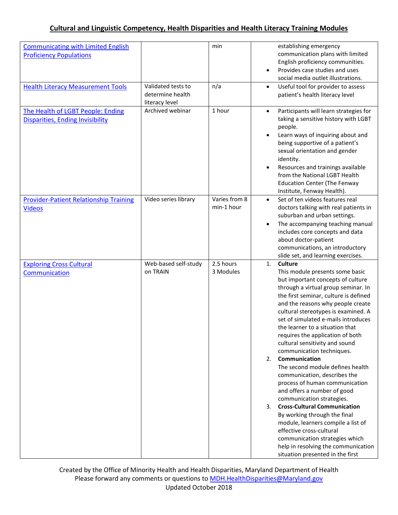| <b>Communicating with Limited English</b><br><b>Proficiency Populations</b>  |                                                          | min                         | establishing emergency<br>communication plans with limited<br>English proficiency communities.<br>Provides case studies and uses<br>social media outlet illustrations.                                                                                                                                                                                                                                                                                                                                                                                                                                                                                                                                                                                                                                                                                                                     |
|------------------------------------------------------------------------------|----------------------------------------------------------|-----------------------------|--------------------------------------------------------------------------------------------------------------------------------------------------------------------------------------------------------------------------------------------------------------------------------------------------------------------------------------------------------------------------------------------------------------------------------------------------------------------------------------------------------------------------------------------------------------------------------------------------------------------------------------------------------------------------------------------------------------------------------------------------------------------------------------------------------------------------------------------------------------------------------------------|
| <b>Health Literacy Measurement Tools</b>                                     | Validated tests to<br>determine health<br>literacy level | n/a                         | Useful tool for provider to assess<br>$\bullet$<br>patient's health literacy level                                                                                                                                                                                                                                                                                                                                                                                                                                                                                                                                                                                                                                                                                                                                                                                                         |
| The Health of LGBT People: Ending<br><b>Disparities, Ending Invisibility</b> | Archived webinar                                         | 1 hour                      | Participants will learn strategies for<br>$\bullet$<br>taking a sensitive history with LGBT<br>people.<br>Learn ways of inquiring about and<br>being supportive of a patient's<br>sexual orientation and gender<br>identity.<br>Resources and trainings available<br>from the National LGBT Health<br><b>Education Center (The Fenway</b><br>Institute, Fenway Health).                                                                                                                                                                                                                                                                                                                                                                                                                                                                                                                    |
| <b>Provider-Patient Relationship Training</b><br><b>Videos</b>               | Video series library                                     | Varies from 8<br>min-1 hour | Set of ten videos features real<br>$\bullet$<br>doctors talking with real patients in<br>suburban and urban settings.<br>The accompanying teaching manual<br>includes core concepts and data<br>about doctor-patient<br>communications, an introductory<br>slide set, and learning exercises.                                                                                                                                                                                                                                                                                                                                                                                                                                                                                                                                                                                              |
| <b>Exploring Cross Cultural</b><br>Communication                             | Web-based self-study<br>on TRAIN                         | 2.5 hours<br>3 Modules      | <b>Culture</b><br>1.<br>This module presents some basic<br>but important concepts of culture<br>through a virtual group seminar. In<br>the first seminar, culture is defined<br>and the reasons why people create<br>cultural stereotypes is examined. A<br>set of simulated e-mails introduces<br>the learner to a situation that<br>requires the application of both<br>cultural sensitivity and sound<br>communication techniques.<br>Communication<br>2.<br>The second module defines health<br>communication, describes the<br>process of human communication<br>and offers a number of good<br>communication strategies.<br><b>Cross-Cultural Communication</b><br>3.<br>By working through the final<br>module, learners compile a list of<br>effective cross-cultural<br>communication strategies which<br>help in resolving the communication<br>situation presented in the first |

Created by the Office of Minority Health and Health Disparities, Maryland Department of Health Please forward any comments or questions to **MDH.HealthDisparities@Maryland.gov** Updated October 2018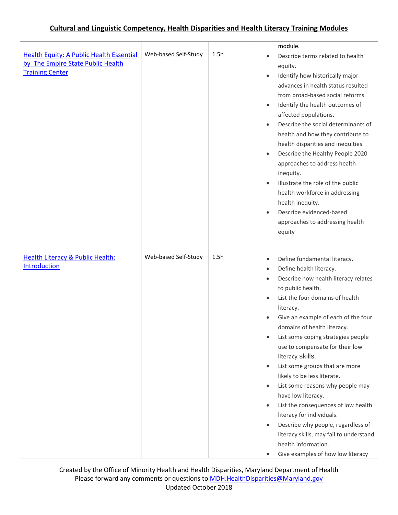|                                                             |                      |      | module.                                                                                                                                                                                                                                                                                                                                                                                                                                                                                                                                                                                                                                                                                                                                                                                          |
|-------------------------------------------------------------|----------------------|------|--------------------------------------------------------------------------------------------------------------------------------------------------------------------------------------------------------------------------------------------------------------------------------------------------------------------------------------------------------------------------------------------------------------------------------------------------------------------------------------------------------------------------------------------------------------------------------------------------------------------------------------------------------------------------------------------------------------------------------------------------------------------------------------------------|
| <b>Health Equity: A Public Health Essential</b>             | Web-based Self-Study | 1.5h | Describe terms related to health<br>$\bullet$                                                                                                                                                                                                                                                                                                                                                                                                                                                                                                                                                                                                                                                                                                                                                    |
| by The Empire State Public Health                           |                      |      | equity.                                                                                                                                                                                                                                                                                                                                                                                                                                                                                                                                                                                                                                                                                                                                                                                          |
| <b>Training Center</b>                                      |                      |      | Identify how historically major<br>$\bullet$<br>advances in health status resulted<br>from broad-based social reforms.<br>Identify the health outcomes of<br>$\bullet$<br>affected populations.<br>Describe the social determinants of<br>$\bullet$<br>health and how they contribute to<br>health disparities and inequities.<br>Describe the Healthy People 2020<br>$\bullet$<br>approaches to address health<br>inequity.<br>Illustrate the role of the public<br>$\bullet$<br>health workforce in addressing<br>health inequity.<br>Describe evidenced-based<br>$\bullet$<br>approaches to addressing health<br>equity                                                                                                                                                                       |
| <b>Health Literacy &amp; Public Health:</b><br>Introduction | Web-based Self-Study | 1.5h | Define fundamental literacy.<br>$\bullet$<br>Define health literacy.<br>$\bullet$<br>Describe how health literacy relates<br>$\bullet$<br>to public health.<br>List the four domains of health<br>$\bullet$<br>literacy.<br>Give an example of each of the four<br>domains of health literacy.<br>List some coping strategies people<br>use to compensate for their low<br>literacy skills.<br>List some groups that are more<br>$\bullet$<br>likely to be less literate.<br>List some reasons why people may<br>$\bullet$<br>have low literacy.<br>List the consequences of low health<br>$\bullet$<br>literacy for individuals.<br>Describe why people, regardless of<br>$\bullet$<br>literacy skills, may fail to understand<br>health information.<br>Give examples of how low literacy<br>٠ |

Created by the Office of Minority Health and Health Disparities, Maryland Department of Health Please forward any comments or questions to **MDH.HealthDisparities@Maryland.gov** Updated October 2018